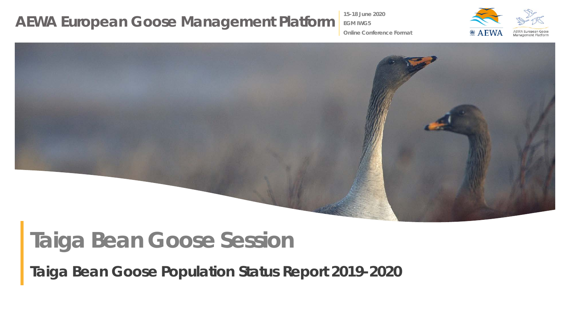**15-18 June 2020**

**EGM IWG5**



**Online Conference Format**

# **Taiga Bean Goose Session**

*Taiga Bean Goose Population Status Report 2019-2020*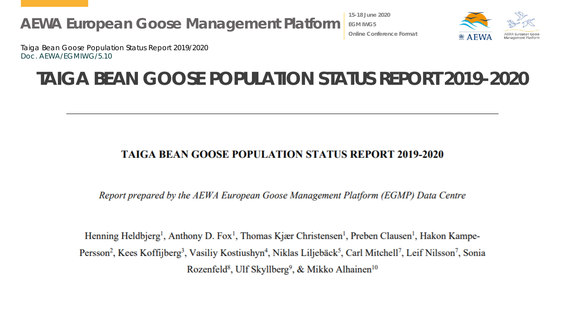**15-18 June 2020 EGM IWG5 Online Conference Format**



Taiga Bean Goose Population Status Report 2019/2020 Doc. AEWA/EGMIWG/5.10

#### **TAIGA BEAN GOOSE POPULATION STATUS REPORT 2019-2020**

#### **TAIGA BEAN GOOSE POPULATION STATUS REPORT 2019-2020**

Report prepared by the AEWA European Goose Management Platform (EGMP) Data Centre

Henning Heldbjerg<sup>1</sup>, Anthony D. Fox<sup>1</sup>, Thomas Kjær Christensen<sup>1</sup>, Preben Clausen<sup>1</sup>, Hakon Kampe-Persson<sup>2</sup>, Kees Koffijberg<sup>3</sup>, Vasiliy Kostiushyn<sup>4</sup>, Niklas Liljebäck<sup>5</sup>, Carl Mitchell<sup>7</sup>, Leif Nilsson<sup>7</sup>, Sonia Rozenfeld<sup>8</sup>, Ulf Skyllberg<sup>9</sup>, & Mikko Alhainen<sup>10</sup>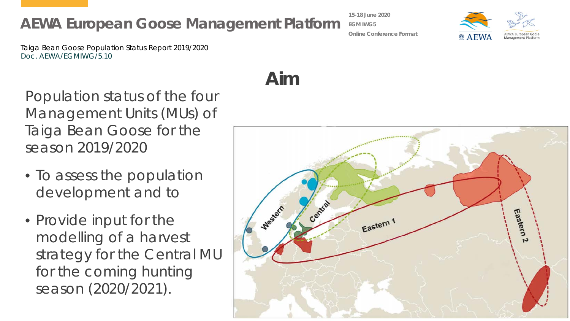Taiga Bean Goose Population Status Report 2019/2020 Doc. AEWA/EGMIWG/5.10

Population status of the four Management Units (MUs) of Taiga Bean Goose for the season 2019/2020

- To assess the population development and to
- Provide input for the modelling of a harvest strategy for the Central MU for the coming hunting season (2020/2021).

## **Aim**



**Online Conference Format**



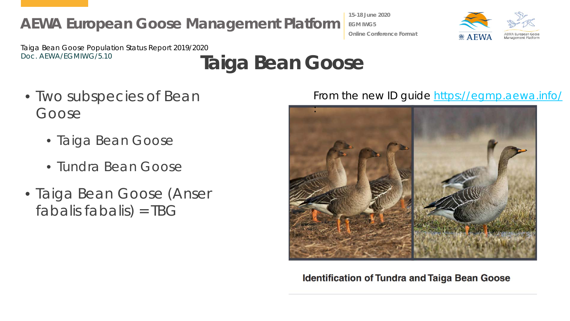**15-18 June 2020 EGM IWG5 Online Conference Format**



Taiga Bean Goose Population Status Report 2019/2020

# Doc. AEWA/EGMIWG/5.10 **Taiga Bean Goose**

- Two subspecies of Bean Goose
	- Taiga Bean Goose
	- Tundra Bean Goose
- Taiga Bean Goose (*Anser fabalis fabalis*) = TBG

#### From the new ID guide<https://egmp.aewa.info/>



**Identification of Tundra and Taiga Bean Goose**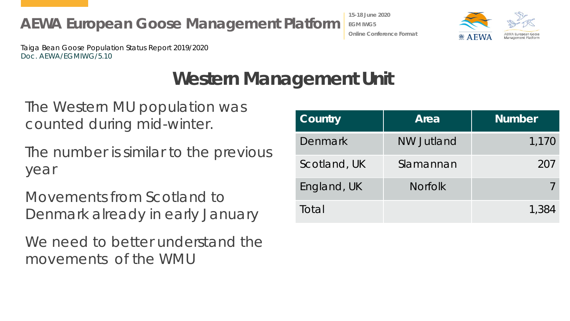Taiga Bean Goose Population Status Report 2019/2020 Doc. AEWA/EGMIWG/5.10

### **Western Management Unit**

The Western MU population was counted during mid-winter.

The number is similar to the previous year

**AEWA European Goose Management Platform**

Movements from Scotland to Denmark already in early January

We need to better understand the movements of the WMU

| Country      | Area              | <b>Number</b> |
|--------------|-------------------|---------------|
| Denmark      | <b>NW Jutland</b> | 1,170         |
| Scotland, UK | Slamannan         | 207           |
| England, UK  | <b>Norfolk</b>    |               |
| Total        |                   | 1.384         |



**EGM IWG5 Online Conference Format**

**15-18 June 2020**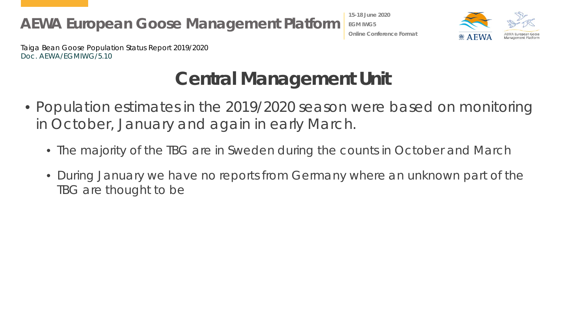**15-18 June 2020 EGM IWG5 Online Conference Format**



Taiga Bean Goose Population Status Report 2019/2020 Doc. AEWA/EGMIWG/5.10

## **Central Management Unit**

- Population estimates in the 2019/2020 season were based on monitoring in October, January and again in early March.
	- The majority of the TBG are in Sweden during the counts in October and March
	- During January we have no reports from Germany where an unknown part of the TBG are thought to be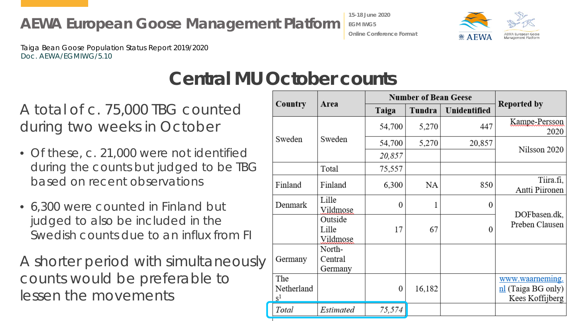Taiga Bean Goose Population Status Report 2019/2020 Doc. AEWA/EGMIWG/5.10

> **Number of Bean Geese Reported by** Country Area Tundra Unidentified Taiga Kampe-Persson 447 54.700 5.270 2020 Sweden Sweden 5.270 54,700 20,857 Nilsson 2020 20,857 Total 75,557 Tiira.fi. Finland Finland **NA** 850 6.300 Antti Piironen Lille Denmark  $\overline{0}$  $\Omega$ Vildmose DOFbasen.dk. Outside Preben Clausen 67 Lille 17  $\Omega$ Vildmose North-Germany Central Germany The www.waarneming. Netherland 16,182 nl (Taiga BG only)  $\overline{0}$  $S<sup>1</sup>$ Kees Koffijberg Estimated Total 75,574

#### **Central MU October counts**

A total of c. 75,000 TBG counted during two weeks in October

- Of these, c. 21,000 were not identified during the counts but judged to be TBG based on recent observations
- 6,300 were counted in Finland but judged to also be included in the Swedish counts due to an influx from FI

A shorter period with simultaneously counts would be preferable to lessen the movements

**15-18 June 2020 EGM IWG5**



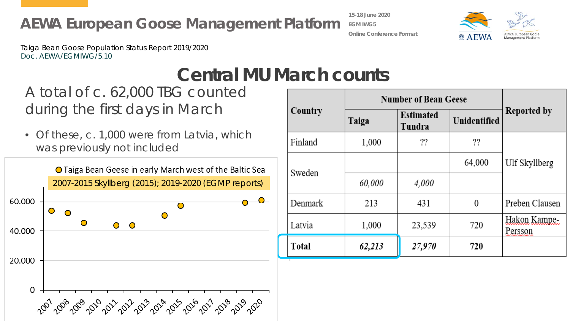**15-18 June 2020 EGM IWG5 Online Conference Format**



Taiga Bean Goose Population Status Report 2019/2020 Doc. AEWA/EGMIWG/5.10

#### **Central MU March counts**

#### A total of c. 62,000 TBG counted during the first days in March

• Of these, c. 1,000 were from Latvia, which was previously not included



|              | <b>Number of Bean Geese</b> |                            |              |                         |
|--------------|-----------------------------|----------------------------|--------------|-------------------------|
| Country      | Taiga                       | <b>Estimated</b><br>Tundra | Unidentified | Reported by             |
| Finland      | 1,000                       | ??                         | ??           |                         |
| Sweden       |                             |                            | 64,000       | Ulf Skyllberg           |
|              | 60,000                      | 4,000                      |              |                         |
| Denmark      | 213                         | 431                        | 0            | Preben Clausen          |
| Latvia       | 1,000                       | 23,539                     | 720          | Hakon Kampe-<br>Persson |
| <b>Total</b> | 62,213                      | 27,970                     | 720          |                         |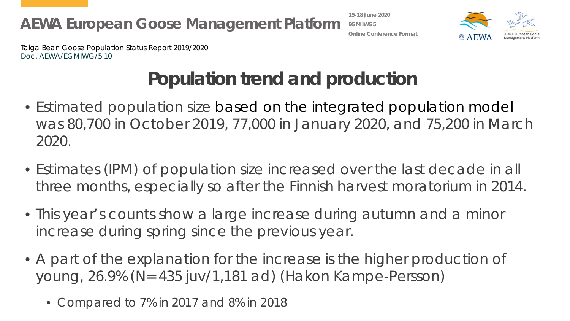**15-18 June 2020 EGM IWG5 Online Conference Format**



Taiga Bean Goose Population Status Report 2019/2020 Doc. AEWA/EGMIWG/5.10

## **Population trend and production**

- Estimated population size based on the integrated population model was 80,700 in October 2019, 77,000 in January 2020, and 75,200 in March 2020.
- Estimates (IPM) of population size increased over the last decade in all three months, especially so after the Finnish harvest moratorium in 2014.
- This year's counts show a large increase during autumn and a minor increase during spring since the previous year.
- A part of the explanation for the increase is the higher production of young, 26.9% (N= 435 juv/1,181 ad) (Hakon Kampe-Persson)
	- Compared to 7% in 2017 and 8% in 2018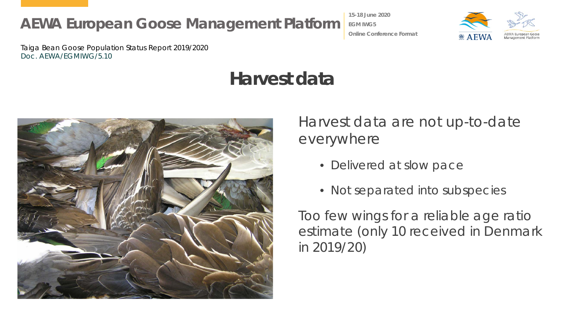**15-18 June 2020 EGM IWG5 Online Conference Format**



Taiga Bean Goose Population Status Report 2019/2020 Doc. AEWA/EGMIWG/5.10

## **Harvest data**



Harvest data are not up-to-date everywhere

- Delivered at slow pace
- Not separated into subspecies

Too few wings for a reliable age ratio estimate (only 10 received in Denmark in 2019/20)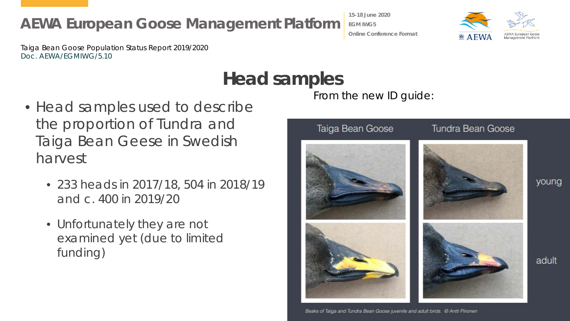**Head samples**

Taiga Bean Goose Population Status Report 2019/2020 Doc. AEWA/EGMIWG/5.10

- Head samples used to describe the proportion of Tundra and Taiga Bean Geese in Swedish harvest
	- 233 heads in 2017/18, 504 in 2018/19 and c. 400 in 2019/20
	- Unfortunately they are not examined yet (due to limited funding)

**15-18 June 2020 EGM IWG5 Online Conference Format**

From the new ID guide:





young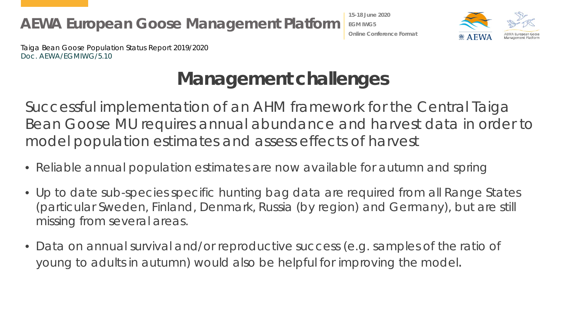**15-18 June 2020 EGM IWG5 Online Conference Format**



Taiga Bean Goose Population Status Report 2019/2020 Doc. AEWA/EGMIWG/5.10

## **Management challenges**

Successful implementation of an AHM framework for the Central Taiga Bean Goose MU requires annual abundance and harvest data in order to model population estimates and assess effects of harvest

- Reliable annual population estimates are now available for autumn and spring
- Up to date sub-species specific hunting bag data are required from all Range States (particular Sweden, Finland, Denmark, Russia (by region) and Germany), but are still missing from several areas.
- Data on annual survival and/or reproductive success (e.g. samples of the ratio of young to adults in autumn) would also be helpful for improving the model.